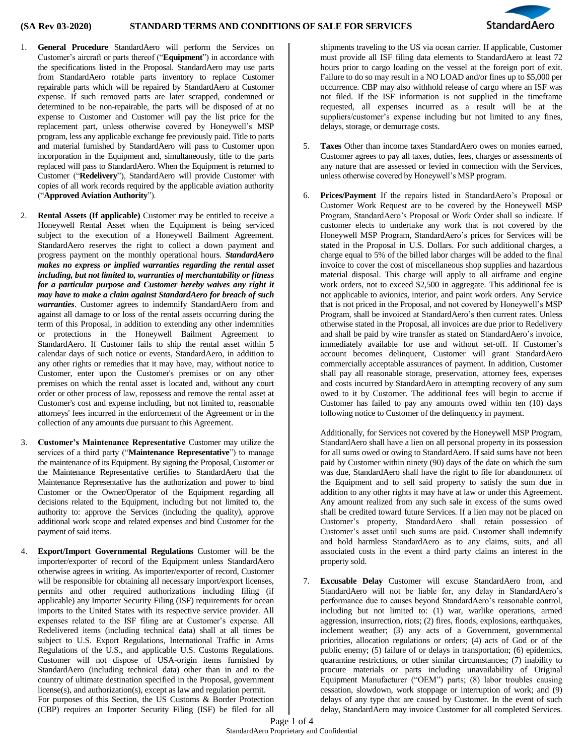

- 1. **General Procedure** StandardAero will perform the Services on Customer's aircraft or parts thereof ("**Equipment**") in accordance with the specifications listed in the Proposal. StandardAero may use parts from StandardAero rotable parts inventory to replace Customer repairable parts which will be repaired by StandardAero at Customer expense. If such removed parts are later scrapped, condemned or determined to be non-repairable, the parts will be disposed of at no expense to Customer and Customer will pay the list price for the replacement part, unless otherwise covered by Honeywell's MSP program, less any applicable exchange fee previously paid. Title to parts and material furnished by StandardAero will pass to Customer upon incorporation in the Equipment and, simultaneously, title to the parts replaced will pass to StandardAero. When the Equipment is returned to Customer ("**Redelivery**"), StandardAero will provide Customer with copies of all work records required by the applicable aviation authority ("**Approved Aviation Authority**").
- 2. **Rental Assets (If applicable)** Customer may be entitled to receive a Honeywell Rental Asset when the Equipment is being serviced subject to the execution of a Honeywell Bailment Agreement. StandardAero reserves the right to collect a down payment and progress payment on the monthly operational hours. *StandardAero makes no express or implied warranties regarding the rental asset including, but not limited to, warranties of merchantability or fitness for a particular purpose and Customer hereby waives any right it may have to make a claim against StandardAero for breach of such warranties*. Customer agrees to indemnify StandardAero from and against all damage to or loss of the rental assets occurring during the term of this Proposal, in addition to extending any other indemnities or protections in the Honeywell Bailment Agreement to StandardAero. If Customer fails to ship the rental asset within 5 calendar days of such notice or events, StandardAero, in addition to any other rights or remedies that it may have, may, without notice to Customer, enter upon the Customer's premises or on any other premises on which the rental asset is located and, without any court order or other process of law, repossess and remove the rental asset at Customer's cost and expense including, but not limited to, reasonable attorneys' fees incurred in the enforcement of the Agreement or in the collection of any amounts due pursuant to this Agreement.
- 3. **Customer's Maintenance Representative** Customer may utilize the services of a third party ("**Maintenance Representative**") to manage the maintenance of its Equipment. By signing the Proposal, Customer or the Maintenance Representative certifies to StandardAero that the Maintenance Representative has the authorization and power to bind Customer or the Owner/Operator of the Equipment regarding all decisions related to the Equipment, including but not limited to, the authority to: approve the Services (including the quality), approve additional work scope and related expenses and bind Customer for the payment of said items.
- 4. **Export/Import Governmental Regulations** Customer will be the importer/exporter of record of the Equipment unless StandardAero otherwise agrees in writing. As importer/exporter of record, Customer will be responsible for obtaining all necessary import/export licenses, permits and other required authorizations including filing (if applicable) any Importer Security Filing (ISF) requirements for ocean imports to the United States with its respective service provider. All expenses related to the ISF filing are at Customer's expense. All Redelivered items (including technical data) shall at all times be subject to U.S. Export Regulations, International Traffic in Arms Regulations of the U.S., and applicable U.S. Customs Regulations. Customer will not dispose of USA-origin items furnished by StandardAero (including technical data) other than in and to the country of ultimate destination specified in the Proposal, government license(s), and authorization(s), except as law and regulation permit. For purposes of this Section, the US Customs & Border Protection (CBP) requires an Importer Security Filing (ISF) be filed for all

shipments traveling to the US via ocean carrier. If applicable, Customer must provide all ISF filing data elements to StandardAero at least 72 hours prior to cargo loading on the vessel at the foreign port of exit. Failure to do so may result in a NO LOAD and/or fines up to \$5,000 per occurrence. CBP may also withhold release of cargo where an ISF was not filed. If the ISF information is not supplied in the timeframe requested, all expenses incurred as a result will be at the suppliers/customer's expense including but not limited to any fines, delays, storage, or demurrage costs.

- 5. **Taxes** Other than income taxes StandardAero owes on monies earned, Customer agrees to pay all taxes, duties, fees, charges or assessments of any nature that are assessed or levied in connection with the Services, unless otherwise covered by Honeywell's MSP program.
- 6. **Prices/Payment** If the repairs listed in StandardAero's Proposal or Customer Work Request are to be covered by the Honeywell MSP Program, StandardAero's Proposal or Work Order shall so indicate. If customer elects to undertake any work that is not covered by the Honeywell MSP Program, StandardAero's prices for Services will be stated in the Proposal in U.S. Dollars. For such additional charges, a charge equal to 5% of the billed labor charges will be added to the final invoice to cover the cost of miscellaneous shop supplies and hazardous material disposal. This charge will apply to all airframe and engine work orders, not to exceed \$2,500 in aggregate. This additional fee is not applicable to avionics, interior, and paint work orders. Any Service that is not priced in the Proposal, and not covered by Honeywell's MSP Program, shall be invoiced at StandardAero's then current rates. Unless otherwise stated in the Proposal, all invoices are due prior to Redelivery and shall be paid by wire transfer as stated on StandardAero's invoice, immediately available for use and without set-off. If Customer's account becomes delinquent, Customer will grant StandardAero commercially acceptable assurances of payment. In addition, Customer shall pay all reasonable storage, preservation, attorney fees, expenses and costs incurred by StandardAero in attempting recovery of any sum owed to it by Customer. The additional fees will begin to accrue if Customer has failed to pay any amounts owed within ten (10) days following notice to Customer of the delinquency in payment.

Additionally, for Services not covered by the Honeywell MSP Program, StandardAero shall have a lien on all personal property in its possession for all sums owed or owing to StandardAero. If said sums have not been paid by Customer within ninety (90) days of the date on which the sum was due, StandardAero shall have the right to file for abandonment of the Equipment and to sell said property to satisfy the sum due in addition to any other rights it may have at law or under this Agreement. Any amount realized from any such sale in excess of the sums owed shall be credited toward future Services. If a lien may not be placed on Customer's property, StandardAero shall retain possession of Customer's asset until such sums are paid. Customer shall indemnify and hold harmless StandardAero as to any claims, suits, and all associated costs in the event a third party claims an interest in the property sold.

7. **Excusable Delay** Customer will excuse StandardAero from, and StandardAero will not be liable for, any delay in StandardAero's performance due to causes beyond StandardAero's reasonable control, including but not limited to: (1) war, warlike operations, armed aggression, insurrection, riots; (2) fires, floods, explosions, earthquakes, inclement weather; (3) any acts of a Government, governmental priorities, allocation regulations or orders; (4) acts of God or of the public enemy; (5) failure of or delays in transportation; (6) epidemics, quarantine restrictions, or other similar circumstances; (7) inability to procure materials or parts including unavailability of Original Equipment Manufacturer ("OEM") parts; (8) labor troubles causing cessation, slowdown, work stoppage or interruption of work; and (9) delays of any type that are caused by Customer. In the event of such delay, StandardAero may invoice Customer for all completed Services.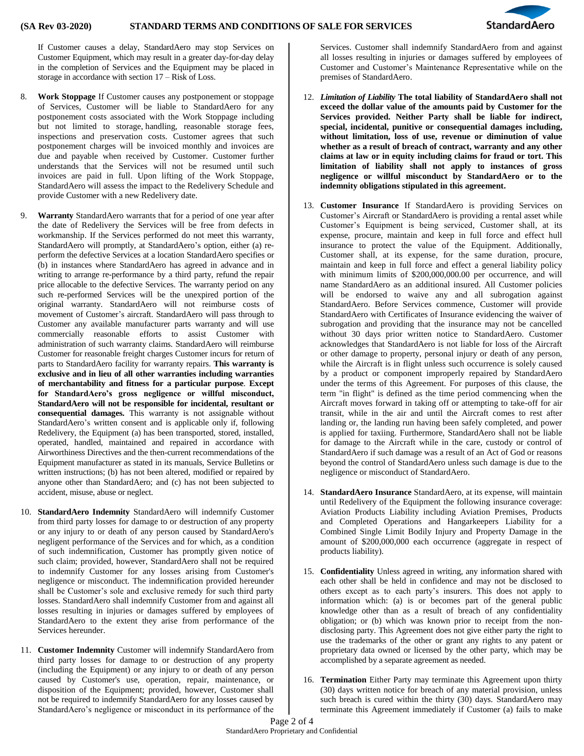

If Customer causes a delay, StandardAero may stop Services on Customer Equipment, which may result in a greater day-for-day delay in the completion of Services and the Equipment may be placed in storage in accordance with section 17 – Risk of Loss.

- 8. **Work Stoppage** If Customer causes any postponement or stoppage of Services, Customer will be liable to StandardAero for any postponement costs associated with the Work Stoppage including but not limited to storage, handling, reasonable storage fees, inspections and preservation costs. Customer agrees that such postponement charges will be invoiced monthly and invoices are due and payable when received by Customer. Customer further understands that the Services will not be resumed until such invoices are paid in full. Upon lifting of the Work Stoppage, StandardAero will assess the impact to the Redelivery Schedule and provide Customer with a new Redelivery date.
- 9. **Warranty** StandardAero warrants that for a period of one year after the date of Redelivery the Services will be free from defects in workmanship. If the Services performed do not meet this warranty, StandardAero will promptly, at StandardAero's option, either (a) reperform the defective Services at a location StandardAero specifies or (b) in instances where StandardAero has agreed in advance and in writing to arrange re-performance by a third party, refund the repair price allocable to the defective Services. The warranty period on any such re-performed Services will be the unexpired portion of the original warranty. StandardAero will not reimburse costs of movement of Customer's aircraft. StandardAero will pass through to Customer any available manufacturer parts warranty and will use commercially reasonable efforts to assist Customer with administration of such warranty claims. StandardAero will reimburse Customer for reasonable freight charges Customer incurs for return of parts to StandardAero facility for warranty repairs. **This warranty is exclusive and in lieu of all other warranties including warranties of merchantability and fitness for a particular purpose**. **Except for StandardAero's gross negligence or willful misconduct, StandardAero will not be responsible for incidental, resultant or consequential damages.** This warranty is not assignable without StandardAero's written consent and is applicable only if, following Redelivery, the Equipment (a) has been transported, stored, installed, operated, handled, maintained and repaired in accordance with Airworthiness Directives and the then-current recommendations of the Equipment manufacturer as stated in its manuals, Service Bulletins or written instructions; (b) has not been altered, modified or repaired by anyone other than StandardAero; and (c) has not been subjected to accident, misuse, abuse or neglect.
- 10. **StandardAero Indemnity** StandardAero will indemnify Customer from third party losses for damage to or destruction of any property or any injury to or death of any person caused by StandardAero's negligent performance of the Services and for which, as a condition of such indemnification, Customer has promptly given notice of such claim; provided, however, StandardAero shall not be required to indemnify Customer for any losses arising from Customer's negligence or misconduct. The indemnification provided hereunder shall be Customer's sole and exclusive remedy for such third party losses. StandardAero shall indemnify Customer from and against all losses resulting in injuries or damages suffered by employees of StandardAero to the extent they arise from performance of the Services hereunder.
- 11. **Customer Indemnity** Customer will indemnify StandardAero from third party losses for damage to or destruction of any property (including the Equipment) or any injury to or death of any person caused by Customer's use, operation, repair, maintenance, or disposition of the Equipment; provided, however, Customer shall not be required to indemnify StandardAero for any losses caused by StandardAero's negligence or misconduct in its performance of the

Services. Customer shall indemnify StandardAero from and against all losses resulting in injuries or damages suffered by employees of Customer and Customer's Maintenance Representative while on the premises of StandardAero.

- 12. *Limitation of Liability* **The total liability of StandardAero shall not exceed the dollar value of the amounts paid by Customer for the Services provided. Neither Party shall be liable for indirect, special, incidental, punitive or consequential damages including, without limitation, loss of use, revenue or diminution of value whether as a result of breach of contract, warranty and any other claims at law or in equity including claims for fraud or tort. This limitation of liability shall not apply to instances of gross negligence or willful misconduct by StandardAero or to the indemnity obligations stipulated in this agreement.**
- 13. **Customer Insurance** If StandardAero is providing Services on Customer's Aircraft or StandardAero is providing a rental asset while Customer's Equipment is being serviced, Customer shall, at its expense, procure, maintain and keep in full force and effect hull insurance to protect the value of the Equipment. Additionally, Customer shall, at its expense, for the same duration, procure, maintain and keep in full force and effect a general liability policy with minimum limits of \$200,000,000.00 per occurrence, and will name StandardAero as an additional insured. All Customer policies will be endorsed to waive any and all subrogation against StandardAero. Before Services commence, Customer will provide StandardAero with Certificates of Insurance evidencing the waiver of subrogation and providing that the insurance may not be cancelled without 30 days prior written notice to StandardAero. Customer acknowledges that StandardAero is not liable for loss of the Aircraft or other damage to property, personal injury or death of any person, while the Aircraft is in flight unless such occurrence is solely caused by a product or component improperly repaired by StandardAero under the terms of this Agreement. For purposes of this clause, the term "in flight" is defined as the time period commencing when the Aircraft moves forward in taking off or attempting to take-off for air transit, while in the air and until the Aircraft comes to rest after landing or, the landing run having been safely completed, and power is applied for taxiing. Furthermore, StandardAero shall not be liable for damage to the Aircraft while in the care, custody or control of StandardAero if such damage was a result of an Act of God or reasons beyond the control of StandardAero unless such damage is due to the negligence or misconduct of StandardAero.
- 14. **StandardAero Insurance** StandardAero, at its expense, will maintain until Redelivery of the Equipment the following insurance coverage: Aviation Products Liability including Aviation Premises, Products and Completed Operations and Hangarkeepers Liability for a Combined Single Limit Bodily Injury and Property Damage in the amount of \$200,000,000 each occurrence (aggregate in respect of products liability).
- 15. **Confidentiality** Unless agreed in writing, any information shared with each other shall be held in confidence and may not be disclosed to others except as to each party's insurers. This does not apply to information which: (a) is or becomes part of the general public knowledge other than as a result of breach of any confidentiality obligation; or (b) which was known prior to receipt from the nondisclosing party. This Agreement does not give either party the right to use the trademarks of the other or grant any rights to any patent or proprietary data owned or licensed by the other party, which may be accomplished by a separate agreement as needed.
- 16. **Termination** Either Party may terminate this Agreement upon thirty (30) days written notice for breach of any material provision, unless such breach is cured within the thirty (30) days. StandardAero may terminate this Agreement immediately if Customer (a) fails to make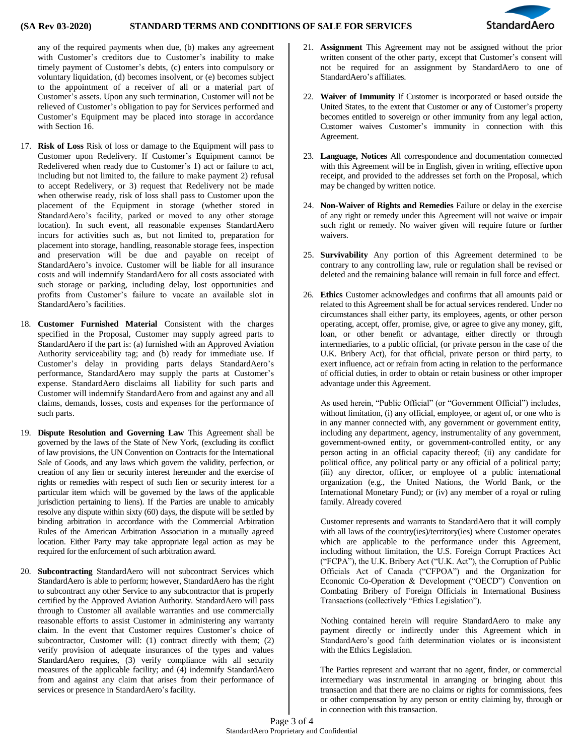## **(SA Rev 03-2020) STANDARD TERMS AND CONDITIONS OF SALE FOR SERVICES**



any of the required payments when due, (b) makes any agreement with Customer's creditors due to Customer's inability to make timely payment of Customer's debts, (c) enters into compulsory or voluntary liquidation, (d) becomes insolvent, or (e) becomes subject to the appointment of a receiver of all or a material part of Customer's assets. Upon any such termination, Customer will not be relieved of Customer's obligation to pay for Services performed and Customer's Equipment may be placed into storage in accordance with Section 16.

- 17. **Risk of Loss** Risk of loss or damage to the Equipment will pass to Customer upon Redelivery. If Customer's Equipment cannot be Redelivered when ready due to Customer's 1) act or failure to act, including but not limited to, the failure to make payment 2) refusal to accept Redelivery, or 3) request that Redelivery not be made when otherwise ready, risk of loss shall pass to Customer upon the placement of the Equipment in storage (whether stored in StandardAero's facility, parked or moved to any other storage location). In such event, all reasonable expenses StandardAero incurs for activities such as, but not limited to, preparation for placement into storage, handling, reasonable storage fees, inspection and preservation will be due and payable on receipt of StandardAero's invoice. Customer will be liable for all insurance costs and will indemnify StandardAero for all costs associated with such storage or parking, including delay, lost opportunities and profits from Customer's failure to vacate an available slot in StandardAero's facilities.
- 18. **Customer Furnished Material** Consistent with the charges specified in the Proposal, Customer may supply agreed parts to StandardAero if the part is: (a) furnished with an Approved Aviation Authority serviceability tag; and (b) ready for immediate use. If Customer's delay in providing parts delays StandardAero's performance, StandardAero may supply the parts at Customer's expense. StandardAero disclaims all liability for such parts and Customer will indemnify StandardAero from and against any and all claims, demands, losses, costs and expenses for the performance of such parts.
- 19. **Dispute Resolution and Governing Law** This Agreement shall be governed by the laws of the State of New York, (excluding its conflict of law provisions, the UN Convention on Contracts for the International Sale of Goods, and any laws which govern the validity, perfection, or creation of any lien or security interest hereunder and the exercise of rights or remedies with respect of such lien or security interest for a particular item which will be governed by the laws of the applicable jurisdiction pertaining to liens). If the Parties are unable to amicably resolve any dispute within sixty (60) days, the dispute will be settled by binding arbitration in accordance with the Commercial Arbitration Rules of the American Arbitration Association in a mutually agreed location. Either Party may take appropriate legal action as may be required for the enforcement of such arbitration award.
- 20. **Subcontracting** StandardAero will not subcontract Services which StandardAero is able to perform; however, StandardAero has the right to subcontract any other Service to any subcontractor that is properly certified by the Approved Aviation Authority. StandardAero will pass through to Customer all available warranties and use commercially reasonable efforts to assist Customer in administering any warranty claim. In the event that Customer requires Customer's choice of subcontractor, Customer will: (1) contract directly with them; (2) verify provision of adequate insurances of the types and values StandardAero requires, (3) verify compliance with all security measures of the applicable facility; and (4) indemnify StandardAero from and against any claim that arises from their performance of services or presence in StandardAero's facility.
- 21. **Assignment** This Agreement may not be assigned without the prior written consent of the other party, except that Customer's consent will not be required for an assignment by StandardAero to one of StandardAero's affiliates.
- 22. **Waiver of Immunity** If Customer is incorporated or based outside the United States, to the extent that Customer or any of Customer's property becomes entitled to sovereign or other immunity from any legal action, Customer waives Customer's immunity in connection with this Agreement.
- 23. **Language, Notices** All correspondence and documentation connected with this Agreement will be in English, given in writing, effective upon receipt, and provided to the addresses set forth on the Proposal, which may be changed by written notice.
- 24. **Non-Waiver of Rights and Remedies** Failure or delay in the exercise of any right or remedy under this Agreement will not waive or impair such right or remedy. No waiver given will require future or further waivers.
- 25. **Survivability** Any portion of this Agreement determined to be contrary to any controlling law, rule or regulation shall be revised or deleted and the remaining balance will remain in full force and effect.
- 26. **Ethics** Customer acknowledges and confirms that all amounts paid or related to this Agreement shall be for actual services rendered. Under no circumstances shall either party, its employees, agents, or other person operating, accept, offer, promise, give, or agree to give any money, gift, loan, or other benefit or advantage, either directly or through intermediaries, to a public official, (or private person in the case of the U.K. Bribery Act), for that official, private person or third party, to exert influence, act or refrain from acting in relation to the performance of official duties, in order to obtain or retain business or other improper advantage under this Agreement.

As used herein, "Public Official" (or "Government Official") includes, without limitation, (i) any official, employee, or agent of, or one who is in any manner connected with, any government or government entity, including any department, agency, instrumentality of any government, government-owned entity, or government-controlled entity, or any person acting in an official capacity thereof; (ii) any candidate for political office, any political party or any official of a political party; (iii) any director, officer, or employee of a public international organization (e.g., the United Nations, the World Bank, or the International Monetary Fund); or (iv) any member of a royal or ruling family. Already covered

Customer represents and warrants to StandardAero that it will comply with all laws of the country(ies)/territory(ies) where Customer operates which are applicable to the performance under this Agreement, including without limitation, the U.S. Foreign Corrupt Practices Act ("FCPA"), the U.K. Bribery Act ("U.K. Act"), the Corruption of Public Officials Act of Canada ("CFPOA") and the Organization for Economic Co-Operation & Development ("OECD") Convention on Combating Bribery of Foreign Officials in International Business Transactions (collectively "Ethics Legislation").

Nothing contained herein will require StandardAero to make any payment directly or indirectly under this Agreement which in StandardAero's good faith determination violates or is inconsistent with the Ethics Legislation.

The Parties represent and warrant that no agent, finder, or commercial intermediary was instrumental in arranging or bringing about this transaction and that there are no claims or rights for commissions, fees or other compensation by any person or entity claiming by, through or in connection with this transaction.